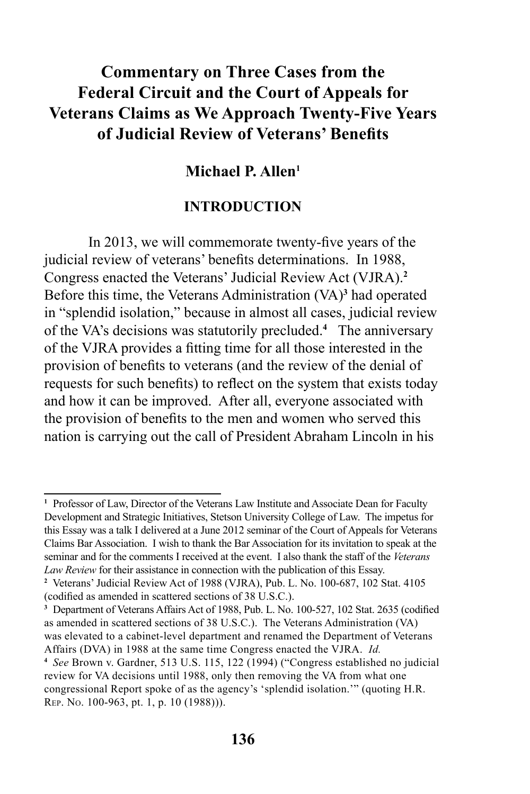# **Commentary on Three Cases from the Federal Circuit and the Court of Appeals for Veterans Claims as We Approach Twenty-Five Years of Judicial Review of Veterans' Benefits**

# **Michael P. Allen1**

### **INTRODUCTION**

In 2013, we will commemorate twenty-five years of the judicial review of veterans' benefits determinations. In 1988, Congress enacted the Veterans' Judicial Review Act (VJRA).**<sup>2</sup>** Before this time, the Veterans Administration (VA)**<sup>3</sup>** had operated in "splendid isolation," because in almost all cases, judicial review of the VA's decisions was statutorily precluded.**<sup>4</sup>** The anniversary of the VJRA provides a fitting time for all those interested in the provision of benefits to veterans (and the review of the denial of requests for such benefits) to reflect on the system that exists today and how it can be improved. After all, everyone associated with the provision of benefits to the men and women who served this nation is carrying out the call of President Abraham Lincoln in his

<sup>&</sup>lt;sup>1</sup> Professor of Law, Director of the Veterans Law Institute and Associate Dean for Faculty Development and Strategic Initiatives, Stetson University College of Law. The impetus for this Essay was a talk I delivered at a June 2012 seminar of the Court of Appeals for Veterans Claims Bar Association. I wish to thank the Bar Association for its invitation to speak at the seminar and for the comments I received at the event. I also thank the staff of the *Veterans Law Review* for their assistance in connection with the publication of this Essay.

**<sup>2</sup>** Veterans' Judicial Review Act of 1988 (VJRA), Pub. L. No. 100-687, 102 Stat. 4105 (codified as amended in scattered sections of 38 U.S.C.).

**<sup>3</sup>** Department of Veterans Affairs Act of 1988, Pub. L. No. 100-527, 102 Stat. 2635 (codified as amended in scattered sections of 38 U.S.C.). The Veterans Administration (VA) was elevated to a cabinet-level department and renamed the Department of Veterans Affairs (DVA) in 1988 at the same time Congress enacted the VJRA. *Id.*

**<sup>4</sup>** *See* Brown v. Gardner, 513 U.S. 115, 122 (1994) ("Congress established no judicial review for VA decisions until 1988, only then removing the VA from what one congressional Report spoke of as the agency's 'splendid isolation.'" (quoting H.R. Rep. No. 100-963, pt. 1, p. 10 (1988))).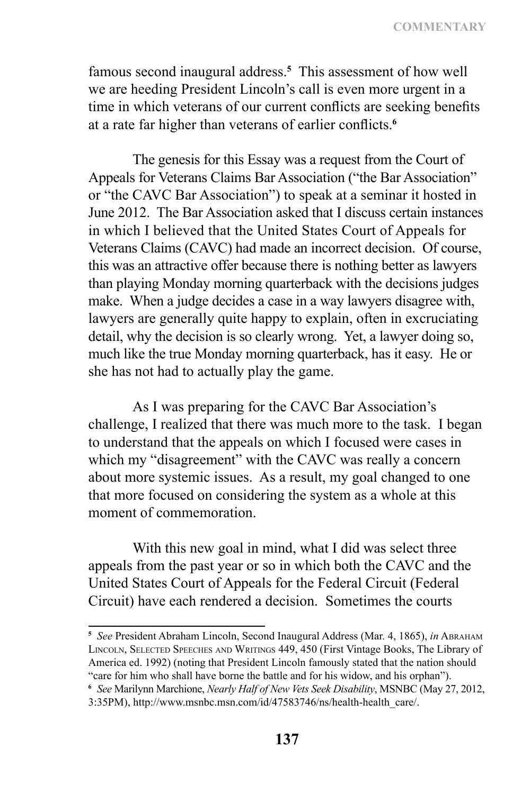famous second inaugural address.**<sup>5</sup>** This assessment of how well we are heeding President Lincoln's call is even more urgent in a time in which veterans of our current conflicts are seeking benefits at a rate far higher than veterans of earlier conflicts.**<sup>6</sup>**

The genesis for this Essay was a request from the Court of Appeals for Veterans Claims Bar Association ("the Bar Association" or "the CAVC Bar Association") to speak at a seminar it hosted in June 2012. The Bar Association asked that I discuss certain instances in which I believed that the United States Court of Appeals for Veterans Claims (CAVC) had made an incorrect decision. Of course, this was an attractive offer because there is nothing better as lawyers than playing Monday morning quarterback with the decisions judges make. When a judge decides a case in a way lawyers disagree with, lawyers are generally quite happy to explain, often in excruciating detail, why the decision is so clearly wrong. Yet, a lawyer doing so, much like the true Monday morning quarterback, has it easy. He or she has not had to actually play the game.

As I was preparing for the CAVC Bar Association's challenge, I realized that there was much more to the task. I began to understand that the appeals on which I focused were cases in which my "disagreement" with the CAVC was really a concern about more systemic issues. As a result, my goal changed to one that more focused on considering the system as a whole at this moment of commemoration.

With this new goal in mind, what I did was select three appeals from the past year or so in which both the CAVC and the United States Court of Appeals for the Federal Circuit (Federal Circuit) have each rendered a decision. Sometimes the courts

**<sup>5</sup>** *See* President Abraham Lincoln, Second Inaugural Address (Mar. 4, 1865), *in* Abraham Lincoln, Selected Speeches and Writings 449, 450 (First Vintage Books, The Library of America ed. 1992) (noting that President Lincoln famously stated that the nation should "care for him who shall have borne the battle and for his widow, and his orphan").

**<sup>6</sup>** *See* Marilynn Marchione, *Nearly Half of New Vets Seek Disability*, MSNBC (May 27, 2012,

<sup>3:35</sup>PM), http://www.msnbc.msn.com/id/47583746/ns/health-health\_care/.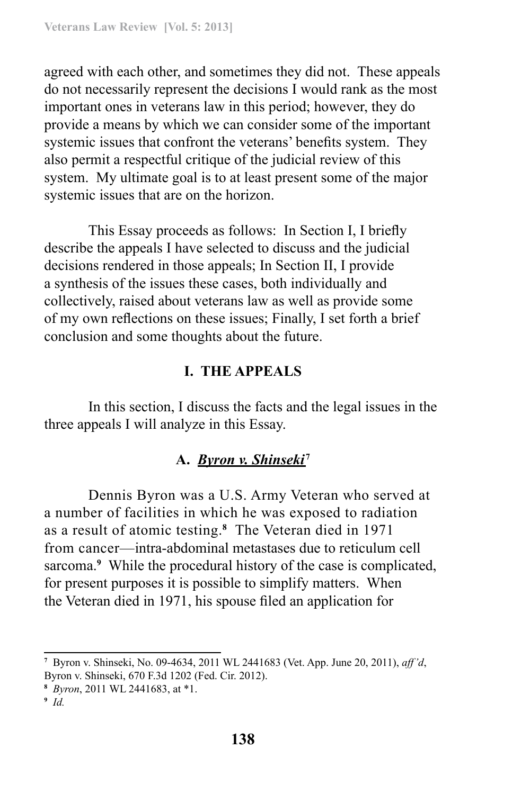agreed with each other, and sometimes they did not. These appeals do not necessarily represent the decisions I would rank as the most important ones in veterans law in this period; however, they do provide a means by which we can consider some of the important systemic issues that confront the veterans' benefits system. They also permit a respectful critique of the judicial review of this system. My ultimate goal is to at least present some of the major systemic issues that are on the horizon.

This Essay proceeds as follows: In Section I, I briefly describe the appeals I have selected to discuss and the judicial decisions rendered in those appeals; In Section II, I provide a synthesis of the issues these cases, both individually and collectively, raised about veterans law as well as provide some of my own reflections on these issues; Finally, I set forth a brief conclusion and some thoughts about the future.

### **I. THE APPEALS**

In this section, I discuss the facts and the legal issues in the three appeals I will analyze in this Essay.

### **A.** *Byron v. Shinseki* **<sup>7</sup>**

Dennis Byron was a U.S. Army Veteran who served at a number of facilities in which he was exposed to radiation as a result of atomic testing.**<sup>8</sup>** The Veteran died in 1971 from cancer—intra‑abdominal metastases due to reticulum cell sarcoma.**<sup>9</sup>** While the procedural history of the case is complicated, for present purposes it is possible to simplify matters. When the Veteran died in 1971, his spouse filed an application for

**<sup>9</sup>** *Id.*

**<sup>7</sup>** Byron v. Shinseki, No. 09-4634, 2011 WL 2441683 (Vet. App. June 20, 2011), *aff'd*, Byron v. Shinseki, 670 F.3d 1202 (Fed. Cir. 2012).

**<sup>8</sup>** *Byron*, 2011 WL 2441683, at \*1.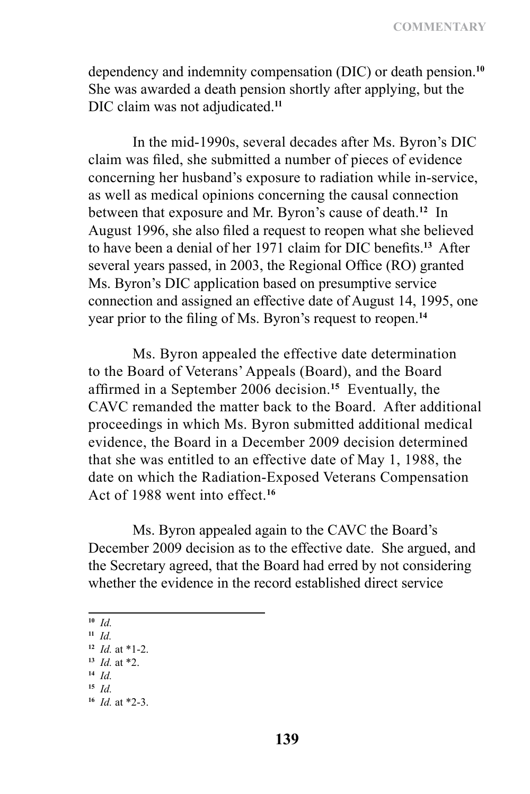dependency and indemnity compensation (DIC) or death pension.**<sup>10</sup>** She was awarded a death pension shortly after applying, but the DIC claim was not adjudicated.**<sup>11</sup>**

In the mid-1990s, several decades after Ms. Byron's DIC claim was filed, she submitted a number of pieces of evidence concerning her husband's exposure to radiation while in-service, as well as medical opinions concerning the causal connection between that exposure and Mr. Byron's cause of death.**<sup>12</sup>** In August 1996, she also filed a request to reopen what she believed to have been a denial of her 1971 claim for DIC benefits.**<sup>13</sup>** After several years passed, in 2003, the Regional Office (RO) granted Ms. Byron's DIC application based on presumptive service connection and assigned an effective date of August 14, 1995, one year prior to the filing of Ms. Byron's request to reopen.**<sup>14</sup>**

Ms. Byron appealed the effective date determination to the Board of Veterans' Appeals (Board), and the Board affirmed in a September 2006 decision.**<sup>15</sup>** Eventually, the CAVC remanded the matter back to the Board. After additional proceedings in which Ms. Byron submitted additional medical evidence, the Board in a December 2009 decision determined that she was entitled to an effective date of May 1, 1988, the date on which the Radiation-Exposed Veterans Compensation Act of 1988 went into effect<sup>16</sup>

Ms. Byron appealed again to the CAVC the Board's December 2009 decision as to the effective date. She argued, and the Secretary agreed, that the Board had erred by not considering whether the evidence in the record established direct service

**<sup>10</sup>** *Id.*

- **<sup>14</sup>** *Id.*
- **<sup>15</sup>** *Id.*

**<sup>11</sup>** *Id.*

**<sup>12</sup>** *Id.* at \*1-2.

**<sup>13</sup>** *Id.* at \*2.

**<sup>16</sup>** *Id.* at \*2-3.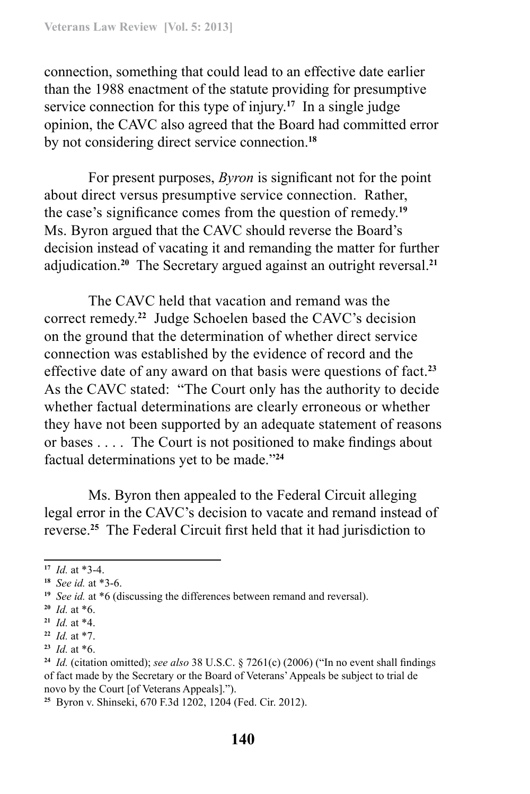connection, something that could lead to an effective date earlier than the 1988 enactment of the statute providing for presumptive service connection for this type of injury.**<sup>17</sup>** In a single judge opinion, the CAVC also agreed that the Board had committed error by not considering direct service connection.**<sup>18</sup>**

For present purposes, *Byron* is significant not for the point about direct versus presumptive service connection. Rather, the case's significance comes from the question of remedy.**<sup>19</sup>** Ms. Byron argued that the CAVC should reverse the Board's decision instead of vacating it and remanding the matter for further adjudication.**<sup>20</sup>** The Secretary argued against an outright reversal.**<sup>21</sup>**

The CAVC held that vacation and remand was the correct remedy.**<sup>22</sup>** Judge Schoelen based the CAVC's decision on the ground that the determination of whether direct service connection was established by the evidence of record and the effective date of any award on that basis were questions of fact.**<sup>23</sup>** As the CAVC stated: "The Court only has the authority to decide whether factual determinations are clearly erroneous or whether they have not been supported by an adequate statement of reasons or bases . . . . The Court is not positioned to make findings about factual determinations yet to be made."**<sup>24</sup>**

Ms. Byron then appealed to the Federal Circuit alleging legal error in the CAVC's decision to vacate and remand instead of reverse.**<sup>25</sup>** The Federal Circuit first held that it had jurisdiction to

**<sup>17</sup>** *Id.* at \*3-4.

**<sup>18</sup>** *See id.* at \*3-6.

**<sup>19</sup>** *See id.* at \*6 (discussing the differences between remand and reversal).

**<sup>20</sup>** *Id.* at \*6.

**<sup>21</sup>** *Id.* at \*4.

**<sup>22</sup>** *Id.* at \*7.

**<sup>23</sup>** *Id.* at \*6.

**<sup>24</sup>** *Id.* (citation omitted); *see also* 38 U.S.C. § 7261(c) (2006) ("In no event shall findings of fact made by the Secretary or the Board of Veterans' Appeals be subject to trial de novo by the Court [of Veterans Appeals].").

**<sup>25</sup>** Byron v. Shinseki, 670 F.3d 1202, 1204 (Fed. Cir. 2012).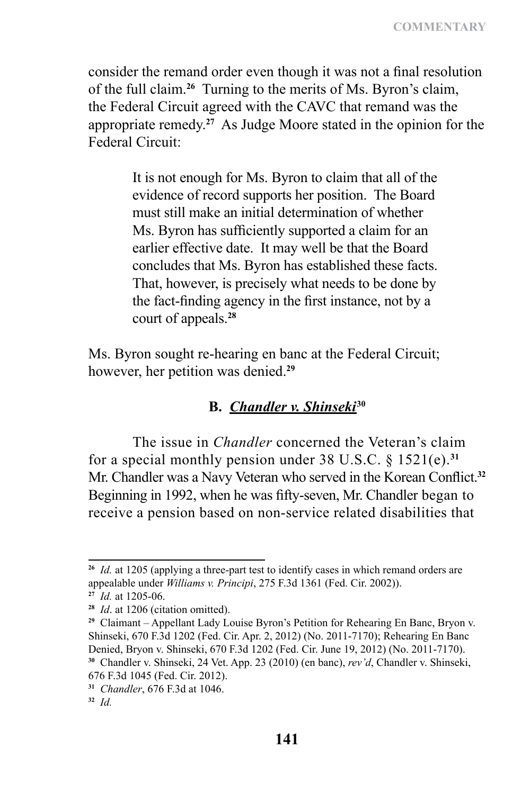consider the remand order even though it was not a final resolution of the full claim.**<sup>26</sup>** Turning to the merits of Ms. Byron's claim, the Federal Circuit agreed with the CAVC that remand was the appropriate remedy.**<sup>27</sup>** As Judge Moore stated in the opinion for the Federal Circuit:

> It is not enough for Ms. Byron to claim that all of the evidence of record supports her position. The Board must still make an initial determination of whether Ms. Byron has sufficiently supported a claim for an earlier effective date. It may well be that the Board concludes that Ms. Byron has established these facts. That, however, is precisely what needs to be done by the fact-finding agency in the first instance, not by a court of appeals.**<sup>28</sup>**

Ms. Byron sought re-hearing en banc at the Federal Circuit; however, her petition was denied.**<sup>29</sup>**

### **B.** *Chandler v. Shinseki* **30**

The issue in *Chandler* concerned the Veteran's claim for a special monthly pension under 38 U.S.C. § 1521(e).**<sup>31</sup>** Mr. Chandler was a Navy Veteran who served in the Korean Conflict.**<sup>32</sup>** Beginning in 1992, when he was fifty-seven, Mr. Chandler began to receive a pension based on non-service related disabilities that

**<sup>26</sup>** *Id.* at 1205 (applying a three-part test to identify cases in which remand orders are appealable under *Williams v. Principi*, 275 F.3d 1361 (Fed. Cir. 2002)).

**<sup>27</sup>** *Id.* at 1205-06.

**<sup>28</sup>** *Id*. at 1206 (citation omitted).

**<sup>29</sup>** Claimant – Appellant Lady Louise Byron's Petition for Rehearing En Banc, Bryon v. Shinseki, 670 F.3d 1202 (Fed. Cir. Apr. 2, 2012) (No. 2011-7170); Rehearing En Banc Denied, Bryon v. Shinseki, 670 F.3d 1202 (Fed. Cir. June 19, 2012) (No. 2011-7170). **<sup>30</sup>** Chandler v. Shinseki, 24 Vet. App. 23 (2010) (en banc), *rev'd*, Chandler v. Shinseki, 676 F.3d 1045 (Fed. Cir. 2012).

**<sup>31</sup>** *Chandler*, 676 F.3d at 1046.

**<sup>32</sup>** *Id.*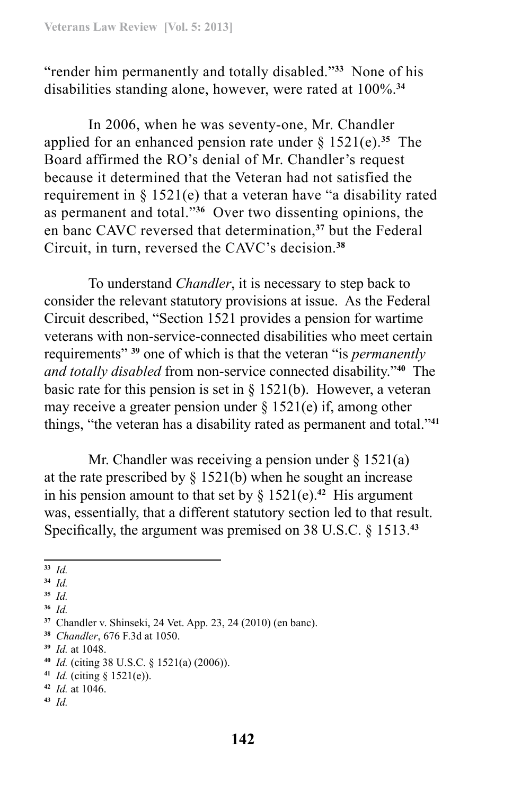"render him permanently and totally disabled."**<sup>33</sup>** None of his disabilities standing alone, however, were rated at 100%.**<sup>34</sup>**

In 2006, when he was seventy-one, Mr. Chandler applied for an enhanced pension rate under  $\S 1521(e).$ <sup>35</sup> The Board affirmed the RO's denial of Mr. Chandler's request because it determined that the Veteran had not satisfied the requirement in § 1521(e) that a veteran have "a disability rated as permanent and total."**<sup>36</sup>** Over two dissenting opinions, the en banc CAVC reversed that determination,**<sup>37</sup>** but the Federal Circuit, in turn, reversed the CAVC's decision.**<sup>38</sup>**

To understand *Chandler*, it is necessary to step back to consider the relevant statutory provisions at issue. As the Federal Circuit described, "Section 1521 provides a pension for wartime veterans with non-service-connected disabilities who meet certain requirements" **<sup>39</sup>** one of which is that the veteran "is *permanently and totally disabled* from non-service connected disability."**<sup>40</sup>** The basic rate for this pension is set in  $\S$  1521(b). However, a veteran may receive a greater pension under  $\S 1521(e)$  if, among other things, "the veteran has a disability rated as permanent and total."**<sup>41</sup>**

Mr. Chandler was receiving a pension under  $\S$  1521(a) at the rate prescribed by  $\S$  1521(b) when he sought an increase in his pension amount to that set by  $\S$  1521(e).<sup>42</sup> His argument was, essentially, that a different statutory section led to that result. Specifically, the argument was premised on 38 U.S.C. § 1513.**<sup>43</sup>**

**<sup>43</sup>** *Id.*

**<sup>33</sup>** *Id.* 

**<sup>34</sup>** *Id.*

**<sup>35</sup>** *Id.*

**<sup>36</sup>** *Id.*

**<sup>37</sup>** Chandler v. Shinseki, 24 Vet. App. 23, 24 (2010) (en banc).

**<sup>38</sup>** *Chandler*, 676 F.3d at 1050.

**<sup>39</sup>** *Id.* at 1048.

**<sup>40</sup>** *Id.* (citing 38 U.S.C. § 1521(a) (2006)).

**<sup>41</sup>** *Id.* (citing § 1521(e)).

**<sup>42</sup>** *Id.* at 1046.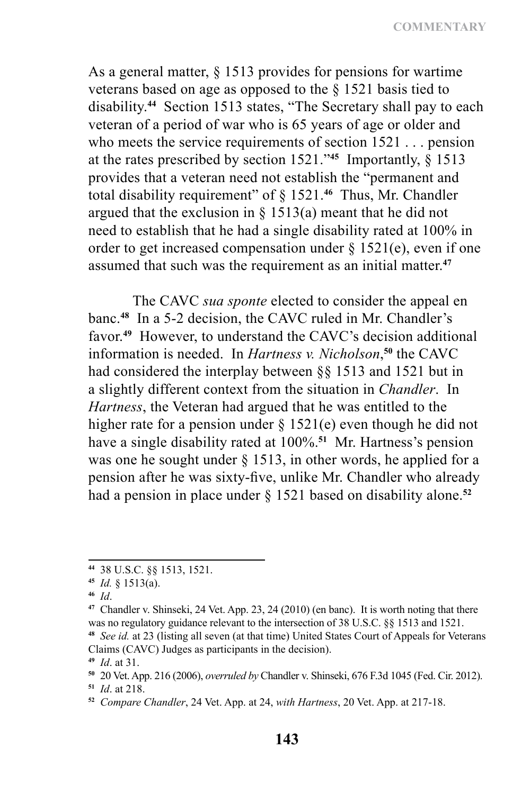As a general matter, § 1513 provides for pensions for wartime veterans based on age as opposed to the § 1521 basis tied to disability.**<sup>44</sup>** Section 1513 states, "The Secretary shall pay to each veteran of a period of war who is 65 years of age or older and who meets the service requirements of section 1521 . . . pension at the rates prescribed by section 1521."**<sup>45</sup>** Importantly, § 1513 provides that a veteran need not establish the "permanent and total disability requirement" of § 1521.**<sup>46</sup>** Thus, Mr. Chandler argued that the exclusion in  $\S$  1513(a) meant that he did not need to establish that he had a single disability rated at 100% in order to get increased compensation under  $\S$  1521(e), even if one assumed that such was the requirement as an initial matter.**<sup>47</sup>**

The CAVC *sua sponte* elected to consider the appeal en banc.**<sup>48</sup>** In a 5-2 decision, the CAVC ruled in Mr. Chandler's favor.**<sup>49</sup>** However, to understand the CAVC's decision additional information is needed. In *Hartness v. Nicholson*, **<sup>50</sup>** the CAVC had considered the interplay between §§ 1513 and 1521 but in a slightly different context from the situation in *Chandler*. In *Hartness*, the Veteran had argued that he was entitled to the higher rate for a pension under  $\S 1521(e)$  even though he did not have a single disability rated at 100%.**<sup>51</sup>** Mr. Hartness's pension was one he sought under  $\S$  1513, in other words, he applied for a pension after he was sixty-five, unlike Mr. Chandler who already had a pension in place under § 1521 based on disability alone.**<sup>52</sup>**

**<sup>44</sup>** 38 U.S.C. §§ 1513, 1521.

**<sup>45</sup>** *Id.* § 1513(a).

**<sup>46</sup>** *Id*.

**<sup>47</sup>** Chandler v. Shinseki, 24 Vet. App. 23, 24 (2010) (en banc). It is worth noting that there was no regulatory guidance relevant to the intersection of 38 U.S.C. §§ 1513 and 1521.

**<sup>48</sup>** *See id.* at 23 (listing all seven (at that time) United States Court of Appeals for Veterans Claims (CAVC) Judges as participants in the decision).

**<sup>49</sup>** *Id*. at 31.

**<sup>50</sup>** 20 Vet. App. 216 (2006), *overruled by* Chandler v. Shinseki, 676 F.3d 1045 (Fed. Cir. 2012).

**<sup>51</sup>** *Id*. at 218.

**<sup>52</sup>** *Compare Chandler*, 24 Vet. App. at 24, *with Hartness*, 20 Vet. App. at 217-18.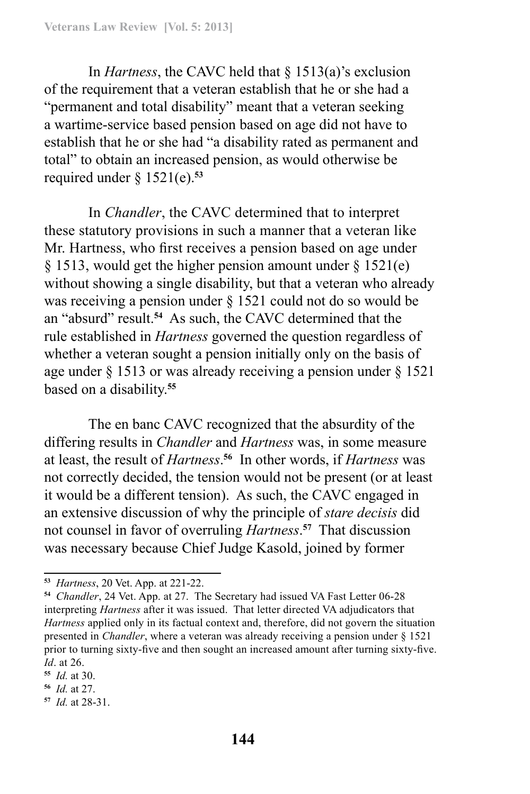In *Hartness*, the CAVC held that § 1513(a)'s exclusion of the requirement that a veteran establish that he or she had a "permanent and total disability" meant that a veteran seeking a wartime-service based pension based on age did not have to establish that he or she had "a disability rated as permanent and total" to obtain an increased pension, as would otherwise be required under  $\S$  1521(e).<sup>53</sup>

In *Chandler*, the CAVC determined that to interpret these statutory provisions in such a manner that a veteran like Mr. Hartness, who first receives a pension based on age under § 1513, would get the higher pension amount under § 1521(e) without showing a single disability, but that a veteran who already was receiving a pension under § 1521 could not do so would be an "absurd" result.**<sup>54</sup>** As such, the CAVC determined that the rule established in *Hartness* governed the question regardless of whether a veteran sought a pension initially only on the basis of age under § 1513 or was already receiving a pension under § 1521 based on a disability.**<sup>55</sup>**

The en banc CAVC recognized that the absurdity of the differing results in *Chandler* and *Hartness* was, in some measure at least, the result of *Hartness*. **<sup>56</sup>** In other words, if *Hartness* was not correctly decided, the tension would not be present (or at least it would be a different tension). As such, the CAVC engaged in an extensive discussion of why the principle of *stare decisis* did not counsel in favor of overruling *Hartness*. **<sup>57</sup>** That discussion was necessary because Chief Judge Kasold, joined by former

**<sup>53</sup>** *Hartness*, 20 Vet. App. at 221-22.

**<sup>54</sup>** *Chandler*, 24 Vet. App. at 27. The Secretary had issued VA Fast Letter 06-28 interpreting *Hartness* after it was issued. That letter directed VA adjudicators that *Hartness* applied only in its factual context and, therefore, did not govern the situation presented in *Chandler*, where a veteran was already receiving a pension under § 1521 prior to turning sixty-five and then sought an increased amount after turning sixty-five. *Id*. at 26.

**<sup>55</sup>** *Id.* at 30.

**<sup>56</sup>** *Id.* at 27.

**<sup>57</sup>** *Id.* at 28-31.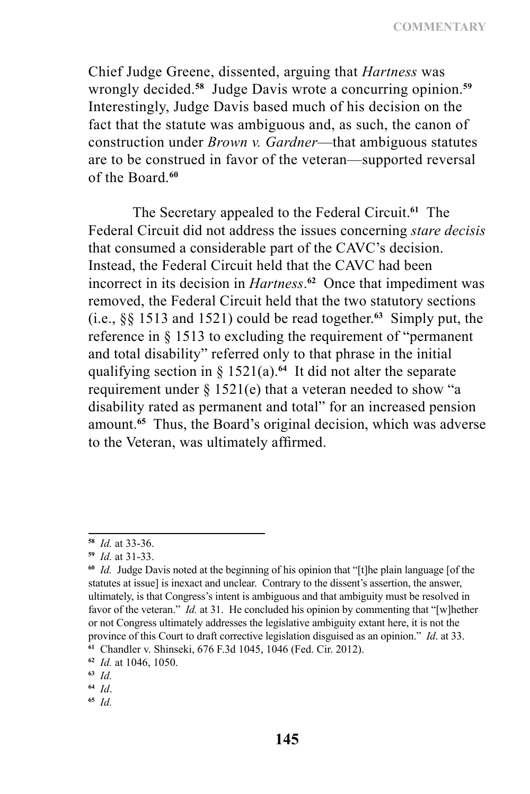**COMMENTARY**

Chief Judge Greene, dissented, arguing that *Hartness* was wrongly decided.**<sup>58</sup>** Judge Davis wrote a concurring opinion.**<sup>59</sup>** Interestingly, Judge Davis based much of his decision on the fact that the statute was ambiguous and, as such, the canon of construction under *Brown v. Gardner*—that ambiguous statutes are to be construed in favor of the veteran—supported reversal of the Board.**<sup>60</sup>**

The Secretary appealed to the Federal Circuit.**<sup>61</sup>** The Federal Circuit did not address the issues concerning *stare decisis* that consumed a considerable part of the CAVC's decision. Instead, the Federal Circuit held that the CAVC had been incorrect in its decision in *Hartness*. **<sup>62</sup>** Once that impediment was removed, the Federal Circuit held that the two statutory sections (i.e., §§ 1513 and 1521) could be read together.**<sup>63</sup>** Simply put, the reference in § 1513 to excluding the requirement of "permanent and total disability" referred only to that phrase in the initial qualifying section in § 1521(a).**<sup>64</sup>** It did not alter the separate requirement under  $\S 1521(e)$  that a veteran needed to show "a disability rated as permanent and total" for an increased pension amount.**<sup>65</sup>** Thus, the Board's original decision, which was adverse to the Veteran, was ultimately affirmed.

**<sup>58</sup>** *Id.* at 33-36.

**<sup>59</sup>** *Id.* at 31-33.

**<sup>60</sup>** *Id.* Judge Davis noted at the beginning of his opinion that "[t]he plain language [of the statutes at issue] is inexact and unclear. Contrary to the dissent's assertion, the answer, ultimately, is that Congress's intent is ambiguous and that ambiguity must be resolved in favor of the veteran." *Id.* at 31. He concluded his opinion by commenting that "[w]hether or not Congress ultimately addresses the legislative ambiguity extant here, it is not the province of this Court to draft corrective legislation disguised as an opinion." *Id*. at 33. **<sup>61</sup>** Chandler v. Shinseki, 676 F.3d 1045, 1046 (Fed. Cir. 2012).

**<sup>62</sup>** *Id.* at 1046, 1050.

**<sup>63</sup>** *Id.*

**<sup>64</sup>** *Id*.

**<sup>65</sup>** *Id.*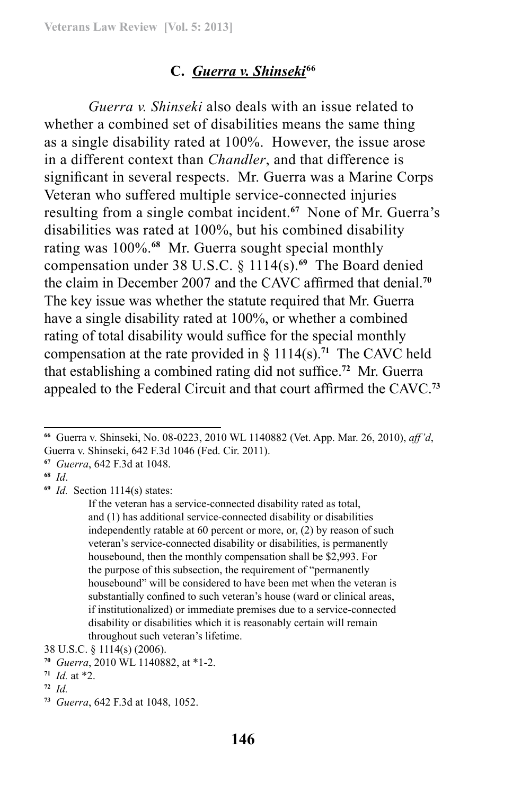### **C.** *Guerra v. Shinseki* **66**

*Guerra v. Shinseki* also deals with an issue related to whether a combined set of disabilities means the same thing as a single disability rated at 100%. However, the issue arose in a different context than *Chandler*, and that difference is significant in several respects. Mr. Guerra was a Marine Corps Veteran who suffered multiple service-connected injuries resulting from a single combat incident.**<sup>67</sup>** None of Mr. Guerra's disabilities was rated at 100%, but his combined disability rating was 100%.**<sup>68</sup>** Mr. Guerra sought special monthly compensation under 38 U.S.C. § 1114(s).**<sup>69</sup>** The Board denied the claim in December 2007 and the CAVC affirmed that denial.**<sup>70</sup>** The key issue was whether the statute required that Mr. Guerra have a single disability rated at 100%, or whether a combined rating of total disability would suffice for the special monthly compensation at the rate provided in § 1114(s).**<sup>71</sup>** The CAVC held that establishing a combined rating did not suffice.**<sup>72</sup>** Mr. Guerra appealed to the Federal Circuit and that court affirmed the CAVC.**<sup>73</sup>**

**<sup>69</sup>** *Id.* Section 1114(s) states:

**<sup>66</sup>** Guerra v. Shinseki, No. 08-0223, 2010 WL 1140882 (Vet. App. Mar. 26, 2010), *aff'd*, Guerra v. Shinseki, 642 F.3d 1046 (Fed. Cir. 2011).

**<sup>67</sup>** *Guerra*, 642 F.3d at 1048.

**<sup>68</sup>** *Id*.

If the veteran has a service-connected disability rated as total, and (1) has additional service-connected disability or disabilities independently ratable at 60 percent or more, or, (2) by reason of such veteran's service-connected disability or disabilities, is permanently housebound, then the monthly compensation shall be \$2,993. For the purpose of this subsection, the requirement of "permanently housebound" will be considered to have been met when the veteran is substantially confined to such veteran's house (ward or clinical areas, if institutionalized) or immediate premises due to a service-connected disability or disabilities which it is reasonably certain will remain throughout such veteran's lifetime.

<sup>38</sup> U.S.C. § 1114(s) (2006).

**<sup>70</sup>** *Guerra*, 2010 WL 1140882, at \*1-2.

 $71$  *Id.* at \*2.

**<sup>72</sup>** *Id.*

**<sup>73</sup>** *Guerra*, 642 F.3d at 1048, 1052.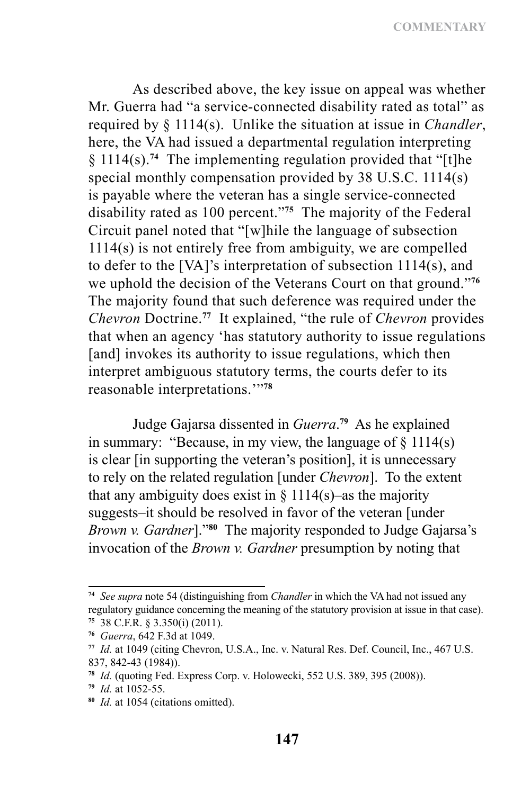As described above, the key issue on appeal was whether Mr. Guerra had "a service-connected disability rated as total" as required by § 1114(s). Unlike the situation at issue in *Chandler*, here, the VA had issued a departmental regulation interpreting § 1114(s).**<sup>74</sup>** The implementing regulation provided that "[t]he special monthly compensation provided by 38 U.S.C. 1114(s) is payable where the veteran has a single service-connected disability rated as 100 percent."**<sup>75</sup>** The majority of the Federal Circuit panel noted that "[w]hile the language of subsection 1114(s) is not entirely free from ambiguity, we are compelled to defer to the [VA]'s interpretation of subsection 1114(s), and we uphold the decision of the Veterans Court on that ground."**<sup>76</sup>** The majority found that such deference was required under the *Chevron* Doctrine.**<sup>77</sup>** It explained, "the rule of *Chevron* provides that when an agency 'has statutory authority to issue regulations [and] invokes its authority to issue regulations, which then interpret ambiguous statutory terms, the courts defer to its reasonable interpretations.'"**<sup>78</sup>**

Judge Gajarsa dissented in *Guerra*. **<sup>79</sup>** As he explained in summary: "Because, in my view, the language of  $\S$  1114(s) is clear [in supporting the veteran's position], it is unnecessary to rely on the related regulation [under *Chevron*]. To the extent that any ambiguity does exist in  $\S$  1114(s)—as the majority suggests–it should be resolved in favor of the veteran [under *Brown v. Gardner*]."**<sup>80</sup>** The majority responded to Judge Gajarsa's invocation of the *Brown v. Gardner* presumption by noting that

**<sup>74</sup>** *See supra* note 54 (distinguishing from *Chandler* in which the VA had not issued any regulatory guidance concerning the meaning of the statutory provision at issue in that case). **<sup>75</sup>** 38 C.F.R. § 3.350(i) (2011).

**<sup>76</sup>** *Guerra*, 642 F.3d at 1049.

**<sup>77</sup>** *Id.* at 1049 (citing Chevron, U.S.A., Inc. v. Natural Res. Def. Council, Inc., 467 U.S. 837, 842-43 (1984)).

**<sup>78</sup>** *Id.* (quoting Fed. Express Corp. v. Holowecki, 552 U.S. 389, 395 (2008)).

**<sup>79</sup>** *Id.* at 1052-55.

**<sup>80</sup>** *Id.* at 1054 (citations omitted).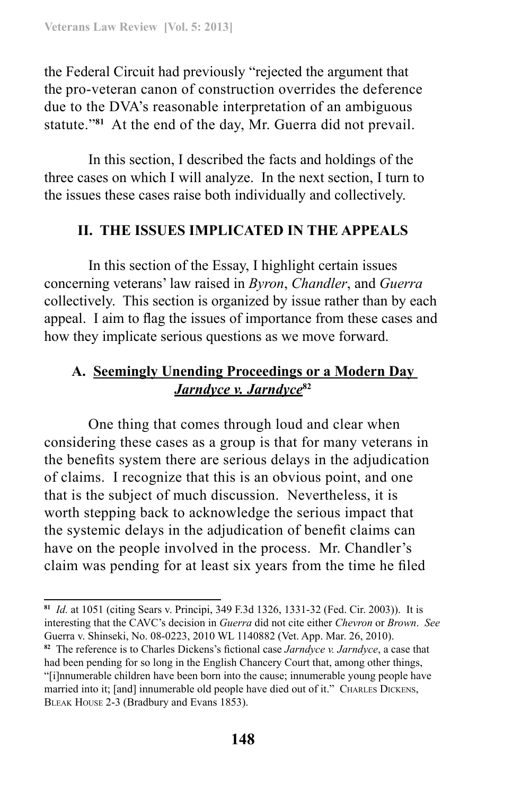the Federal Circuit had previously "rejected the argument that the pro‑veteran canon of construction overrides the deference due to the DVA's reasonable interpretation of an ambiguous statute."**<sup>81</sup>** At the end of the day, Mr. Guerra did not prevail.

In this section, I described the facts and holdings of the three cases on which I will analyze. In the next section, I turn to the issues these cases raise both individually and collectively.

# **II. THE ISSUES IMPLICATED IN THE APPEALS**

In this section of the Essay, I highlight certain issues concerning veterans' law raised in *Byron*, *Chandler*, and *Guerra* collectively. This section is organized by issue rather than by each appeal. I aim to flag the issues of importance from these cases and how they implicate serious questions as we move forward.

# **A. Seemingly Unending Proceedings or a Modern Day**  *Jarndyce v. Jarndyce***<sup>82</sup>**

One thing that comes through loud and clear when considering these cases as a group is that for many veterans in the benefits system there are serious delays in the adjudication of claims. I recognize that this is an obvious point, and one that is the subject of much discussion. Nevertheless, it is worth stepping back to acknowledge the serious impact that the systemic delays in the adjudication of benefit claims can have on the people involved in the process. Mr. Chandler's claim was pending for at least six years from the time he filed

**<sup>81</sup>** *Id.* at 1051 (citing Sears v. Principi, 349 F.3d 1326, 1331-32 (Fed. Cir. 2003)). It is interesting that the CAVC's decision in *Guerra* did not cite either *Chevron* or *Brown*. *See*  Guerra v. Shinseki, No. 08-0223, 2010 WL 1140882 (Vet. App. Mar. 26, 2010).

**<sup>82</sup>** The reference is to Charles Dickens's fictional case *Jarndyce v. Jarndyce*, a case that had been pending for so long in the English Chancery Court that, among other things, "[i]nnumerable children have been born into the cause; innumerable young people have married into it; [and] innumerable old people have died out of it." CHARLES DICKENS, Bleak House 2-3 (Bradbury and Evans 1853).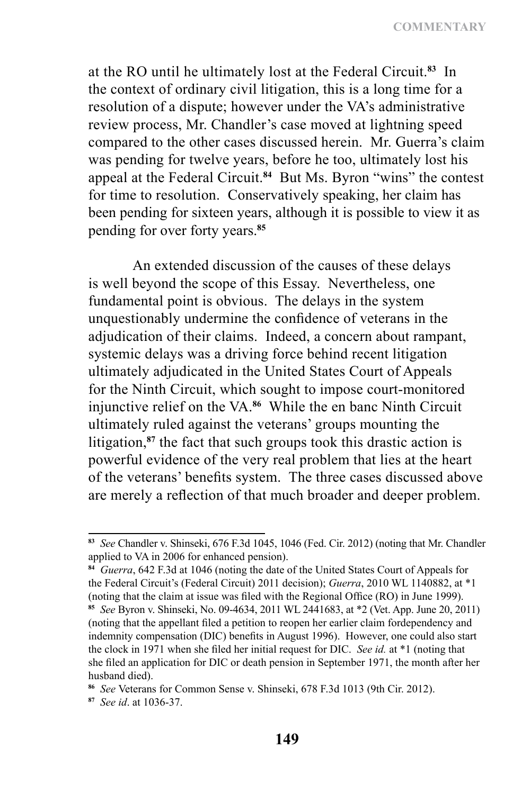**COMMENTARY**

at the RO until he ultimately lost at the Federal Circuit.**<sup>83</sup>** In the context of ordinary civil litigation, this is a long time for a resolution of a dispute; however under the VA's administrative review process, Mr. Chandler's case moved at lightning speed compared to the other cases discussed herein. Mr. Guerra's claim was pending for twelve years, before he too, ultimately lost his appeal at the Federal Circuit.**<sup>84</sup>** But Ms. Byron "wins" the contest for time to resolution. Conservatively speaking, her claim has been pending for sixteen years, although it is possible to view it as pending for over forty years.**<sup>85</sup>**

An extended discussion of the causes of these delays is well beyond the scope of this Essay. Nevertheless, one fundamental point is obvious. The delays in the system unquestionably undermine the confidence of veterans in the adjudication of their claims. Indeed, a concern about rampant, systemic delays was a driving force behind recent litigation ultimately adjudicated in the United States Court of Appeals for the Ninth Circuit, which sought to impose court-monitored injunctive relief on the VA.**<sup>86</sup>** While the en banc Ninth Circuit ultimately ruled against the veterans' groups mounting the litigation,**<sup>87</sup>** the fact that such groups took this drastic action is powerful evidence of the very real problem that lies at the heart of the veterans' benefits system. The three cases discussed above are merely a reflection of that much broader and deeper problem.

**<sup>83</sup>** *See* Chandler v. Shinseki, 676 F.3d 1045, 1046 (Fed. Cir. 2012) (noting that Mr. Chandler applied to VA in 2006 for enhanced pension).

**<sup>84</sup>** *Guerra*, 642 F.3d at 1046 (noting the date of the United States Court of Appeals for the Federal Circuit's (Federal Circuit) 2011 decision); *Guerra*, 2010 WL 1140882, at \*1 (noting that the claim at issue was filed with the Regional Office (RO) in June 1999).

**<sup>85</sup>** *See* Byron v. Shinseki, No. 09-4634, 2011 WL 2441683, at \*2 (Vet. App. June 20, 2011) (noting that the appellant filed a petition to reopen her earlier claim fordependency and indemnity compensation (DIC) benefits in August 1996). However, one could also start the clock in 1971 when she filed her initial request for DIC. *See id.* at \*1 (noting that she filed an application for DIC or death pension in September 1971, the month after her husband died).

**<sup>86</sup>** *See* Veterans for Common Sense v. Shinseki, 678 F.3d 1013 (9th Cir. 2012).

**<sup>87</sup>** *See id*. at 1036-37.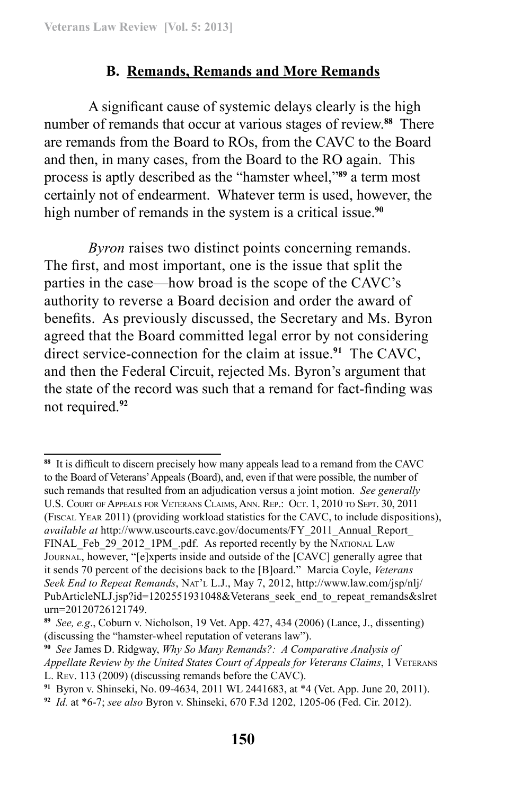### **B. Remands, Remands and More Remands**

A significant cause of systemic delays clearly is the high number of remands that occur at various stages of review.**<sup>88</sup>** There are remands from the Board to ROs, from the CAVC to the Board and then, in many cases, from the Board to the RO again. This process is aptly described as the "hamster wheel,"**<sup>89</sup>** a term most certainly not of endearment. Whatever term is used, however, the high number of remands in the system is a critical issue.**<sup>90</sup>**

*Byron* raises two distinct points concerning remands. The first, and most important, one is the issue that split the parties in the case—how broad is the scope of the CAVC's authority to reverse a Board decision and order the award of benefits. As previously discussed, the Secretary and Ms. Byron agreed that the Board committed legal error by not considering direct service-connection for the claim at issue.**<sup>91</sup>** The CAVC, and then the Federal Circuit, rejected Ms. Byron's argument that the state of the record was such that a remand for fact-finding was not required.**<sup>92</sup>**

**<sup>88</sup>** It is difficult to discern precisely how many appeals lead to a remand from the CAVC to the Board of Veterans' Appeals (Board), and, even if that were possible, the number of such remands that resulted from an adjudication versus a joint motion. *See generally* U.S. Court of Appeals for Veterans Claims, Ann. Rep.: Oct. 1, 2010 to Sept. 30, 2011 (Fiscal Year 2011) (providing workload statistics for the CAVC, to include dispositions), *available at* http://www.uscourts.cavc.gov/documents/FY\_2011\_Annual\_Report\_ FINAL Feb 29 2012 1PM .pdf. As reported recently by the National Law Journal, however, "[e]xperts inside and outside of the [CAVC] generally agree that it sends 70 percent of the decisions back to the [B]oard." Marcia Coyle, *Veterans Seek End to Repeat Remands*, Nat'l L.J., May 7, 2012, http://www.law.com/jsp/nlj/ PubArticleNLJ.jsp?id=1202551931048&Veterans\_seek\_end\_to\_repeat\_remands&slret urn=20120726121749.

**<sup>89</sup>** *See, e.g*., Coburn v. Nicholson, 19 Vet. App. 427, 434 (2006) (Lance, J., dissenting) (discussing the "hamster-wheel reputation of veterans law").

**<sup>90</sup>** *See* James D. Ridgway, *Why So Many Remands?: A Comparative Analysis of Appellate Review by the United States Court of Appeals for Veterans Claims*, 1 Veterans L. Rev. 113 (2009) (discussing remands before the CAVC).

**<sup>91</sup>** Byron v. Shinseki, No. 09-4634, 2011 WL 2441683, at \*4 (Vet. App. June 20, 2011).

**<sup>92</sup>** *Id.* at \*6-7; *see also* Byron v. Shinseki, 670 F.3d 1202, 1205-06 (Fed. Cir. 2012).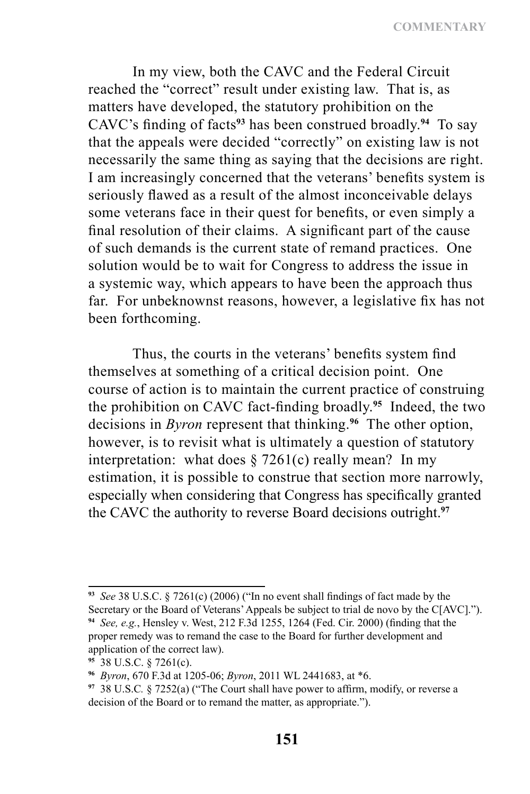**COMMENTARY**

In my view, both the CAVC and the Federal Circuit reached the "correct" result under existing law. That is, as matters have developed, the statutory prohibition on the CAVC's finding of facts**<sup>93</sup>** has been construed broadly.**<sup>94</sup>** To say that the appeals were decided "correctly" on existing law is not necessarily the same thing as saying that the decisions are right. I am increasingly concerned that the veterans' benefits system is seriously flawed as a result of the almost inconceivable delays some veterans face in their quest for benefits, or even simply a final resolution of their claims. A significant part of the cause of such demands is the current state of remand practices. One solution would be to wait for Congress to address the issue in a systemic way, which appears to have been the approach thus far. For unbeknownst reasons, however, a legislative fix has not been forthcoming.

Thus, the courts in the veterans' benefits system find themselves at something of a critical decision point. One course of action is to maintain the current practice of construing the prohibition on CAVC fact-finding broadly.**<sup>95</sup>** Indeed, the two decisions in *Byron* represent that thinking.**<sup>96</sup>** The other option, however, is to revisit what is ultimately a question of statutory interpretation: what does  $\S 7261(c)$  really mean? In my estimation, it is possible to construe that section more narrowly, especially when considering that Congress has specifically granted the CAVC the authority to reverse Board decisions outright.**<sup>97</sup>**

**<sup>93</sup>** *See* 38 U.S.C. § 7261(c) (2006) ("In no event shall findings of fact made by the Secretary or the Board of Veterans' Appeals be subject to trial de novo by the C[AVC].").

**<sup>94</sup>** *See, e.g.*, Hensley v. West, 212 F.3d 1255, 1264 (Fed. Cir. 2000) (finding that the proper remedy was to remand the case to the Board for further development and application of the correct law).

**<sup>95</sup>** 38 U.S.C. § 7261(c).

**<sup>96</sup>** *Byron*, 670 F.3d at 1205-06; *Byron*, 2011 WL 2441683, at \*6.

**<sup>97</sup>** 38 U.S.C*.* § 7252(a) ("The Court shall have power to affirm, modify, or reverse a decision of the Board or to remand the matter, as appropriate.").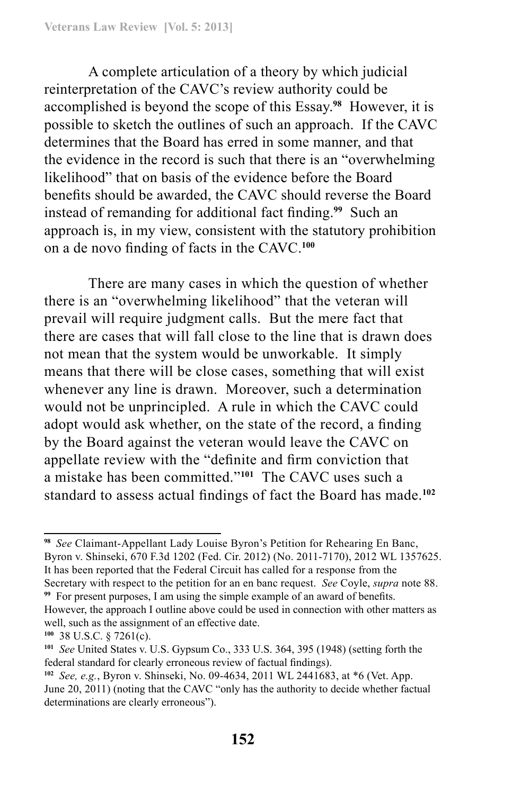A complete articulation of a theory by which judicial reinterpretation of the CAVC's review authority could be accomplished is beyond the scope of this Essay.**<sup>98</sup>** However, it is possible to sketch the outlines of such an approach. If the CAVC determines that the Board has erred in some manner, and that the evidence in the record is such that there is an "overwhelming likelihood" that on basis of the evidence before the Board benefits should be awarded, the CAVC should reverse the Board instead of remanding for additional fact finding.**<sup>99</sup>** Such an approach is, in my view, consistent with the statutory prohibition on a de novo finding of facts in the CAVC.**<sup>100</sup>**

There are many cases in which the question of whether there is an "overwhelming likelihood" that the veteran will prevail will require judgment calls. But the mere fact that there are cases that will fall close to the line that is drawn does not mean that the system would be unworkable. It simply means that there will be close cases, something that will exist whenever any line is drawn. Moreover, such a determination would not be unprincipled. A rule in which the CAVC could adopt would ask whether, on the state of the record, a finding by the Board against the veteran would leave the CAVC on appellate review with the "definite and firm conviction that a mistake has been committed."**<sup>101</sup>** The CAVC uses such a standard to assess actual findings of fact the Board has made.**<sup>102</sup>**

**<sup>99</sup>** For present purposes, I am using the simple example of an award of benefits. However, the approach I outline above could be used in connection with other matters as

well, such as the assignment of an effective date. **100** 38 U.S.C. § 7261(c).

**<sup>98</sup>** *See* Claimant-Appellant Lady Louise Byron's Petition for Rehearing En Banc, Byron v. Shinseki, 670 F.3d 1202 (Fed. Cir. 2012) (No. 2011-7170), 2012 WL 1357625. It has been reported that the Federal Circuit has called for a response from the Secretary with respect to the petition for an en banc request. *See* Coyle, *supra* note 88.

**<sup>101</sup>** *See* United States v. U.S. Gypsum Co., 333 U.S. 364, 395 (1948) (setting forth the federal standard for clearly erroneous review of factual findings).

**<sup>102</sup>** *See, e.g.*, Byron v. Shinseki, No. 09-4634, 2011 WL 2441683, at \*6 (Vet. App. June 20, 2011) (noting that the CAVC "only has the authority to decide whether factual determinations are clearly erroneous").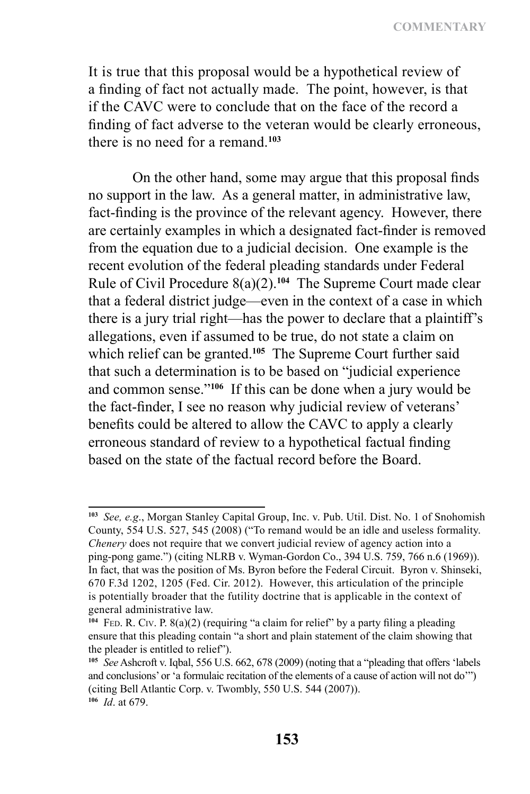**COMMENTARY**

It is true that this proposal would be a hypothetical review of a finding of fact not actually made. The point, however, is that if the CAVC were to conclude that on the face of the record a finding of fact adverse to the veteran would be clearly erroneous, there is no need for a remand <sup>103</sup>

On the other hand, some may argue that this proposal finds no support in the law. As a general matter, in administrative law, fact-finding is the province of the relevant agency. However, there are certainly examples in which a designated fact-finder is removed from the equation due to a judicial decision. One example is the recent evolution of the federal pleading standards under Federal Rule of Civil Procedure 8(a)(2).**<sup>104</sup>** The Supreme Court made clear that a federal district judge—even in the context of a case in which there is a jury trial right—has the power to declare that a plaintiff's allegations, even if assumed to be true, do not state a claim on which relief can be granted.**<sup>105</sup>** The Supreme Court further said that such a determination is to be based on "judicial experience and common sense."**<sup>106</sup>** If this can be done when a jury would be the fact-finder, I see no reason why judicial review of veterans' benefits could be altered to allow the CAVC to apply a clearly erroneous standard of review to a hypothetical factual finding based on the state of the factual record before the Board.

**<sup>103</sup>** *See, e.g*., Morgan Stanley Capital Group, Inc. v. Pub. Util. Dist. No. 1 of Snohomish County, 554 U.S. 527, 545 (2008) ("To remand would be an idle and useless formality. *Chenery* does not require that we convert judicial review of agency action into a ping‑pong game.") (citing NLRB v. Wyman-Gordon Co., 394 U.S. 759, 766 n.6 (1969)). In fact, that was the position of Ms. Byron before the Federal Circuit. Byron v. Shinseki, 670 F.3d 1202, 1205 (Fed. Cir. 2012). However, this articulation of the principle is potentially broader that the futility doctrine that is applicable in the context of general administrative law.

<sup>&</sup>lt;sup>104</sup> FED. R. CIV. P. 8(a)(2) (requiring "a claim for relief" by a party filing a pleading ensure that this pleading contain "a short and plain statement of the claim showing that the pleader is entitled to relief").

**<sup>105</sup>** *See* Ashcroft v. Iqbal, 556 U.S. 662, 678 (2009) (noting that a "pleading that offers 'labels and conclusions' or 'a formulaic recitation of the elements of a cause of action will not do'") (citing Bell Atlantic Corp. v. Twombly, 550 U.S. 544 (2007)). **<sup>106</sup>** *Id*. at 679.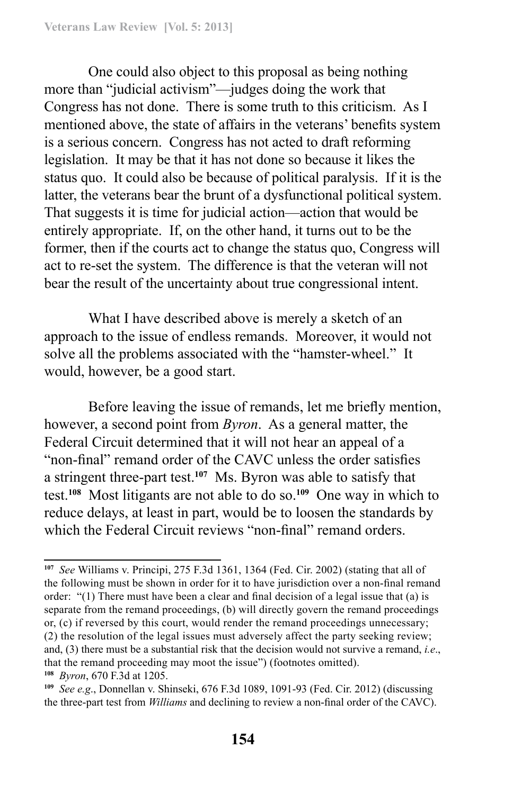One could also object to this proposal as being nothing more than "judicial activism"—judges doing the work that Congress has not done. There is some truth to this criticism. As I mentioned above, the state of affairs in the veterans' benefits system is a serious concern. Congress has not acted to draft reforming legislation. It may be that it has not done so because it likes the status quo. It could also be because of political paralysis. If it is the latter, the veterans bear the brunt of a dysfunctional political system. That suggests it is time for judicial action—action that would be entirely appropriate. If, on the other hand, it turns out to be the former, then if the courts act to change the status quo, Congress will act to re-set the system. The difference is that the veteran will not bear the result of the uncertainty about true congressional intent.

What I have described above is merely a sketch of an approach to the issue of endless remands. Moreover, it would not solve all the problems associated with the "hamster-wheel." It would, however, be a good start.

Before leaving the issue of remands, let me briefly mention, however, a second point from *Byron*. As a general matter, the Federal Circuit determined that it will not hear an appeal of a "non-final" remand order of the CAVC unless the order satisfies a stringent three-part test.**<sup>107</sup>** Ms. Byron was able to satisfy that test.**<sup>108</sup>** Most litigants are not able to do so.**<sup>109</sup>** One way in which to reduce delays, at least in part, would be to loosen the standards by which the Federal Circuit reviews "non-final" remand orders.

**<sup>107</sup>** *See* Williams v. Principi, 275 F.3d 1361, 1364 (Fed. Cir. 2002) (stating that all of the following must be shown in order for it to have jurisdiction over a non-final remand order: "(1) There must have been a clear and final decision of a legal issue that (a) is separate from the remand proceedings, (b) will directly govern the remand proceedings or, (c) if reversed by this court, would render the remand proceedings unnecessary; (2) the resolution of the legal issues must adversely affect the party seeking review; and, (3) there must be a substantial risk that the decision would not survive a remand, *i.e*., that the remand proceeding may moot the issue") (footnotes omitted). **<sup>108</sup>** *Byron*, 670 F.3d at 1205.

**<sup>109</sup>** *See e.g*., Donnellan v. Shinseki, 676 F.3d 1089, 1091-93 (Fed. Cir. 2012) (discussing the three-part test from *Williams* and declining to review a non-final order of the CAVC).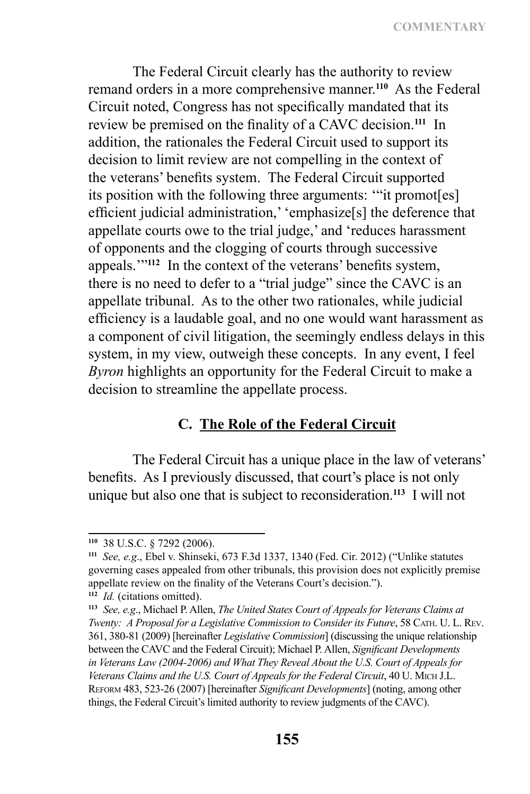**COMMENTARY**

The Federal Circuit clearly has the authority to review remand orders in a more comprehensive manner.**<sup>110</sup>** As the Federal Circuit noted, Congress has not specifically mandated that its review be premised on the finality of a CAVC decision.**<sup>111</sup>** In addition, the rationales the Federal Circuit used to support its decision to limit review are not compelling in the context of the veterans' benefits system. The Federal Circuit supported its position with the following three arguments: '"it promot[es] efficient judicial administration,' 'emphasize[s] the deference that appellate courts owe to the trial judge,' and 'reduces harassment of opponents and the clogging of courts through successive appeals.'"**<sup>112</sup>** In the context of the veterans' benefits system, there is no need to defer to a "trial judge" since the CAVC is an appellate tribunal. As to the other two rationales, while judicial efficiency is a laudable goal, and no one would want harassment as a component of civil litigation, the seemingly endless delays in this system, in my view, outweigh these concepts. In any event, I feel *Byron* highlights an opportunity for the Federal Circuit to make a decision to streamline the appellate process.

### **C. The Role of the Federal Circuit**

The Federal Circuit has a unique place in the law of veterans' benefits. As I previously discussed, that court's place is not only unique but also one that is subject to reconsideration.**<sup>113</sup>** I will not

**<sup>110</sup>** 38 U.S.C. § 7292 (2006).

**<sup>111</sup>** *See, e.g*., Ebel v. Shinseki, 673 F.3d 1337, 1340 (Fed. Cir. 2012) ("Unlike statutes governing cases appealed from other tribunals, this provision does not explicitly premise appellate review on the finality of the Veterans Court's decision."). **<sup>112</sup>** *Id.* (citations omitted).

**<sup>113</sup>** *See, e.g*., Michael P. Allen, *The United States Court of Appeals for Veterans Claims at Twenty: A Proposal for a Legislative Commission to Consider its Future*, 58 CATH. U. L. REV. 361, 380-81 (2009) [hereinafter *Legislative Commission*] (discussing the unique relationship between the CAVC and the Federal Circuit); Michael P. Allen, *Significant Developments in Veterans Law (2004-2006) and What They Reveal About the U.S. Court of Appeals for*  Veterans Claims and the U.S. Court of Appeals for the Federal Circuit, 40 U. MICH J.L. Reform 483, 523-26 (2007) [hereinafter *Significant Developments*] (noting, among other things, the Federal Circuit's limited authority to review judgments of the CAVC).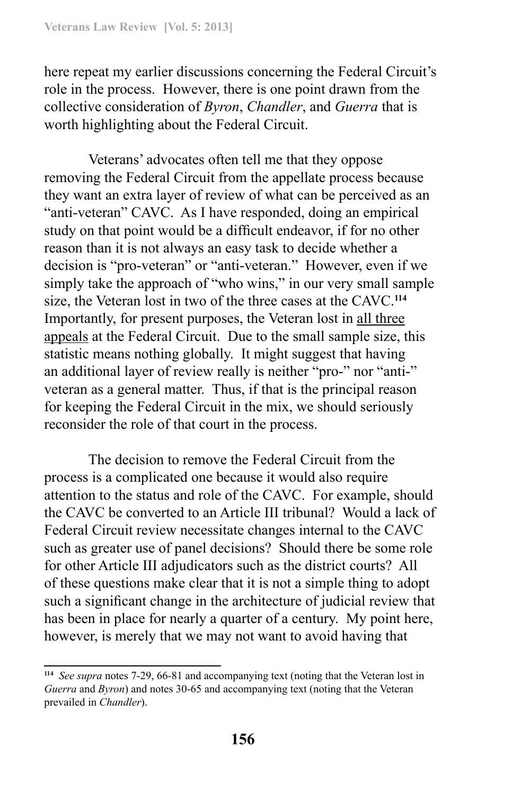here repeat my earlier discussions concerning the Federal Circuit's role in the process. However, there is one point drawn from the collective consideration of *Byron*, *Chandler*, and *Guerra* that is worth highlighting about the Federal Circuit.

Veterans' advocates often tell me that they oppose removing the Federal Circuit from the appellate process because they want an extra layer of review of what can be perceived as an "anti-veteran" CAVC. As I have responded, doing an empirical study on that point would be a difficult endeavor, if for no other reason than it is not always an easy task to decide whether a decision is "pro-veteran" or "anti-veteran." However, even if we simply take the approach of "who wins," in our very small sample size, the Veteran lost in two of the three cases at the CAVC.**<sup>114</sup>** Importantly, for present purposes, the Veteran lost in all three appeals at the Federal Circuit. Due to the small sample size, this statistic means nothing globally. It might suggest that having an additional layer of review really is neither "pro-" nor "anti-" veteran as a general matter. Thus, if that is the principal reason for keeping the Federal Circuit in the mix, we should seriously reconsider the role of that court in the process.

The decision to remove the Federal Circuit from the process is a complicated one because it would also require attention to the status and role of the CAVC. For example, should the CAVC be converted to an Article III tribunal? Would a lack of Federal Circuit review necessitate changes internal to the CAVC such as greater use of panel decisions? Should there be some role for other Article III adjudicators such as the district courts? All of these questions make clear that it is not a simple thing to adopt such a significant change in the architecture of judicial review that has been in place for nearly a quarter of a century. My point here, however, is merely that we may not want to avoid having that

**<sup>114</sup>** *See supra* notes 7-29, 66-81 and accompanying text (noting that the Veteran lost in *Guerra* and *Byron*) and notes 30-65 and accompanying text (noting that the Veteran prevailed in *Chandler*).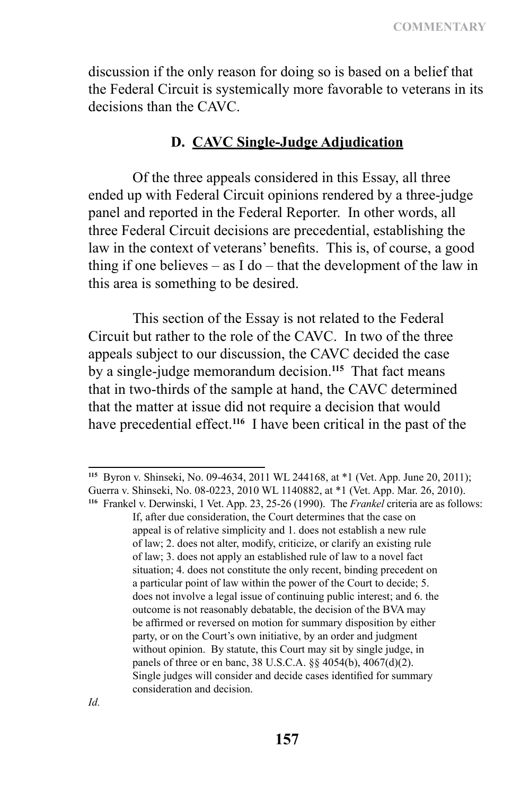discussion if the only reason for doing so is based on a belief that the Federal Circuit is systemically more favorable to veterans in its decisions than the CAVC.

### **D. CAVC Single-Judge Adjudication**

Of the three appeals considered in this Essay, all three ended up with Federal Circuit opinions rendered by a three-judge panel and reported in the Federal Reporter. In other words, all three Federal Circuit decisions are precedential, establishing the law in the context of veterans' benefits. This is, of course, a good thing if one believes – as I do – that the development of the law in this area is something to be desired.

This section of the Essay is not related to the Federal Circuit but rather to the role of the CAVC. In two of the three appeals subject to our discussion, the CAVC decided the case by a single-judge memorandum decision.**<sup>115</sup>** That fact means that in two-thirds of the sample at hand, the CAVC determined that the matter at issue did not require a decision that would have precedential effect.**<sup>116</sup>** I have been critical in the past of the

**<sup>115</sup>** Byron v. Shinseki, No. 09-4634, 2011 WL 244168, at \*1 (Vet. App. June 20, 2011); Guerra v. Shinseki, No. 08-0223, 2010 WL 1140882, at \*1 (Vet. App. Mar. 26, 2010). **<sup>116</sup>** Frankel v. Derwinski, 1 Vet. App. 23, 25-26 (1990). The *Frankel* criteria are as follows:

If, after due consideration, the Court determines that the case on appeal is of relative simplicity and 1. does not establish a new rule of law; 2. does not alter, modify, criticize, or clarify an existing rule of law; 3. does not apply an established rule of law to a novel fact situation; 4. does not constitute the only recent, binding precedent on a particular point of law within the power of the Court to decide; 5. does not involve a legal issue of continuing public interest; and 6. the outcome is not reasonably debatable, the decision of the BVA may be affirmed or reversed on motion for summary disposition by either party, or on the Court's own initiative, by an order and judgment without opinion. By statute, this Court may sit by single judge, in panels of three or en banc, 38 U.S.C.A. §§ 4054(b), 4067(d)(2). Single judges will consider and decide cases identified for summary consideration and decision.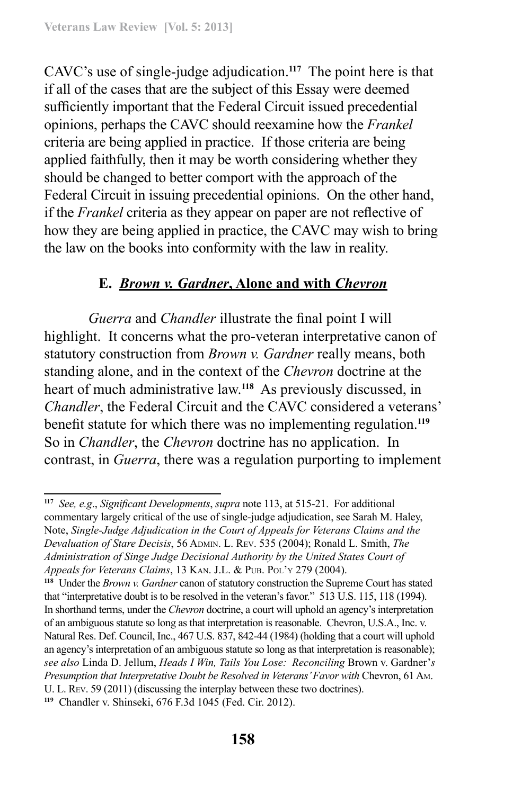CAVC's use of single-judge adjudication.**<sup>117</sup>** The point here is that if all of the cases that are the subject of this Essay were deemed sufficiently important that the Federal Circuit issued precedential opinions, perhaps the CAVC should reexamine how the *Frankel* criteria are being applied in practice. If those criteria are being applied faithfully, then it may be worth considering whether they should be changed to better comport with the approach of the Federal Circuit in issuing precedential opinions. On the other hand, if the *Frankel* criteria as they appear on paper are not reflective of how they are being applied in practice, the CAVC may wish to bring the law on the books into conformity with the law in reality.

# **E.** *Brown v. Gardner***, Alone and with** *Chevron*

*Guerra* and *Chandler* illustrate the final point I will highlight. It concerns what the pro-veteran interpretative canon of statutory construction from *Brown v. Gardner* really means, both standing alone, and in the context of the *Chevron* doctrine at the heart of much administrative law.**<sup>118</sup>** As previously discussed, in *Chandler*, the Federal Circuit and the CAVC considered a veterans' benefit statute for which there was no implementing regulation.**<sup>119</sup>** So in *Chandler*, the *Chevron* doctrine has no application. In contrast, in *Guerra*, there was a regulation purporting to implement

**119** Chandler v. Shinseki, 676 F.3d 1045 (Fed. Cir. 2012).

**<sup>117</sup>** *See, e.g*., *Significant Developments*, *supra* note 113, at 515-21. For additional commentary largely critical of the use of single-judge adjudication, see Sarah M. Haley, Note, *Single-Judge Adjudication in the Court of Appeals for Veterans Claims and the Devaluation of Stare Decisis*, 56 Admin. L. Rev. 535 (2004); Ronald L. Smith, *The Administration of Singe Judge Decisional Authority by the United States Court of Appeals for Veterans Claims*, 13 Kan. J.L. & Pub. Pol'y 279 (2004).

**<sup>118</sup>** Under the *Brown v. Gardner* canon of statutory construction the Supreme Court has stated that "interpretative doubt is to be resolved in the veteran's favor." 513 U.S. 115, 118 (1994). In shorthand terms, under the *Chevron* doctrine, a court will uphold an agency's interpretation of an ambiguous statute so long as that interpretation is reasonable. Chevron, U.S.A., Inc. v. Natural Res. Def. Council, Inc., 467 U.S. 837, 842-44 (1984) (holding that a court will uphold an agency's interpretation of an ambiguous statute so long as that interpretation is reasonable); *see also* Linda D. Jellum, *Heads I Win, Tails You Lose: Reconciling* Brown v. Gardner'*s Presumption that Interpretative Doubt be Resolved in Veterans' Favor with Chevron, 61 Am.* U. L. Rev. 59 (2011) (discussing the interplay between these two doctrines).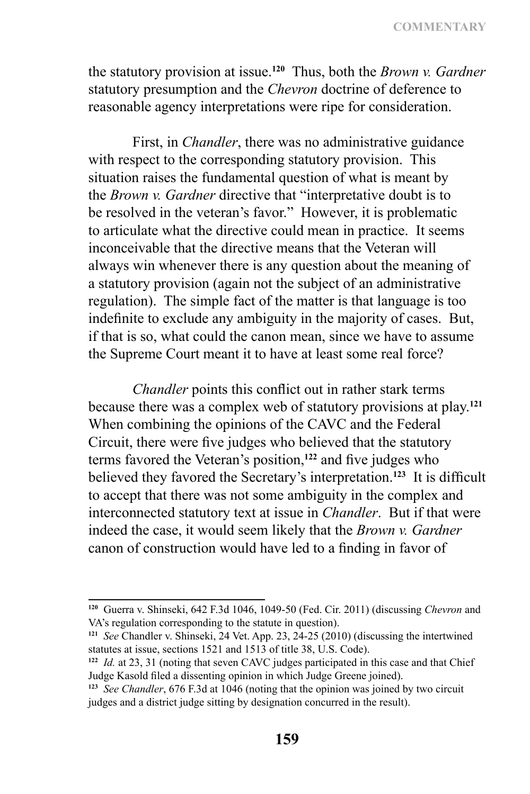the statutory provision at issue.**<sup>120</sup>** Thus, both the *Brown v. Gardner* statutory presumption and the *Chevron* doctrine of deference to reasonable agency interpretations were ripe for consideration.

First, in *Chandler*, there was no administrative guidance with respect to the corresponding statutory provision. This situation raises the fundamental question of what is meant by the *Brown v. Gardner* directive that "interpretative doubt is to be resolved in the veteran's favor." However, it is problematic to articulate what the directive could mean in practice. It seems inconceivable that the directive means that the Veteran will always win whenever there is any question about the meaning of a statutory provision (again not the subject of an administrative regulation). The simple fact of the matter is that language is too indefinite to exclude any ambiguity in the majority of cases. But, if that is so, what could the canon mean, since we have to assume the Supreme Court meant it to have at least some real force?

*Chandler* points this conflict out in rather stark terms because there was a complex web of statutory provisions at play.**<sup>121</sup>** When combining the opinions of the CAVC and the Federal Circuit, there were five judges who believed that the statutory terms favored the Veteran's position,**<sup>122</sup>** and five judges who believed they favored the Secretary's interpretation.**<sup>123</sup>** It is difficult to accept that there was not some ambiguity in the complex and interconnected statutory text at issue in *Chandler*. But if that were indeed the case, it would seem likely that the *Brown v. Gardner* canon of construction would have led to a finding in favor of

**<sup>120</sup>** Guerra v. Shinseki, 642 F.3d 1046, 1049-50 (Fed. Cir. 2011) (discussing *Chevron* and VA's regulation corresponding to the statute in question).

**<sup>121</sup>** *See* Chandler v. Shinseki, 24 Vet. App. 23, 24-25 (2010) (discussing the intertwined statutes at issue, sections 1521 and 1513 of title 38, U.S. Code).

**<sup>122</sup>** *Id.* at 23, 31 (noting that seven CAVC judges participated in this case and that Chief Judge Kasold filed a dissenting opinion in which Judge Greene joined).

**<sup>123</sup>** *See Chandler*, 676 F.3d at 1046 (noting that the opinion was joined by two circuit judges and a district judge sitting by designation concurred in the result).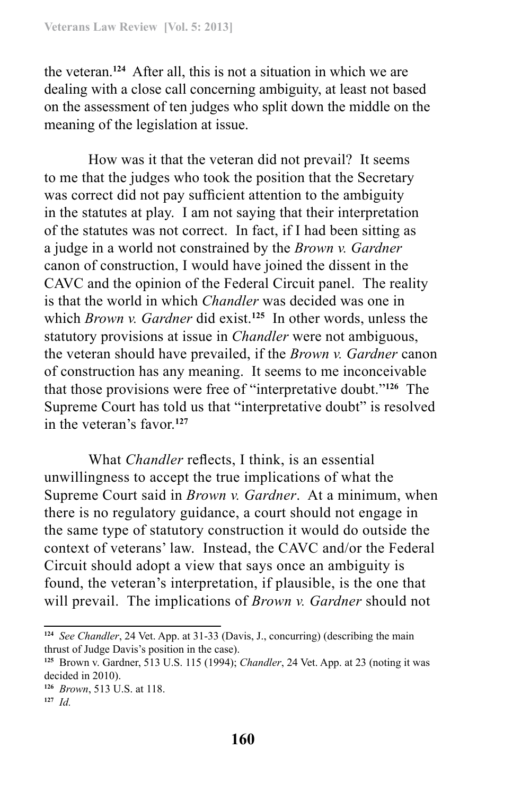the veteran.**<sup>124</sup>** After all, this is not a situation in which we are dealing with a close call concerning ambiguity, at least not based on the assessment of ten judges who split down the middle on the meaning of the legislation at issue.

How was it that the veteran did not prevail? It seems to me that the judges who took the position that the Secretary was correct did not pay sufficient attention to the ambiguity in the statutes at play. I am not saying that their interpretation of the statutes was not correct. In fact, if I had been sitting as a judge in a world not constrained by the *Brown v. Gardner* canon of construction, I would have joined the dissent in the CAVC and the opinion of the Federal Circuit panel. The reality is that the world in which *Chandler* was decided was one in which *Brown v. Gardner* did exist.**<sup>125</sup>** In other words, unless the statutory provisions at issue in *Chandler* were not ambiguous, the veteran should have prevailed, if the *Brown v. Gardner* canon of construction has any meaning. It seems to me inconceivable that those provisions were free of "interpretative doubt."**<sup>126</sup>** The Supreme Court has told us that "interpretative doubt" is resolved in the veteran's favor.**<sup>127</sup>**

What *Chandler* reflects, I think, is an essential unwillingness to accept the true implications of what the Supreme Court said in *Brown v. Gardner*. At a minimum, when there is no regulatory guidance, a court should not engage in the same type of statutory construction it would do outside the context of veterans' law. Instead, the CAVC and/or the Federal Circuit should adopt a view that says once an ambiguity is found, the veteran's interpretation, if plausible, is the one that will prevail. The implications of *Brown v. Gardner* should not

**<sup>124</sup>** *See Chandler*, 24 Vet. App. at 31-33 (Davis, J., concurring) (describing the main thrust of Judge Davis's position in the case).

**<sup>125</sup>** Brown v. Gardner, 513 U.S. 115 (1994); *Chandler*, 24 Vet. App. at 23 (noting it was decided in 2010).

**<sup>126</sup>** *Brown*, 513 U.S. at 118.

**<sup>127</sup>** *Id.*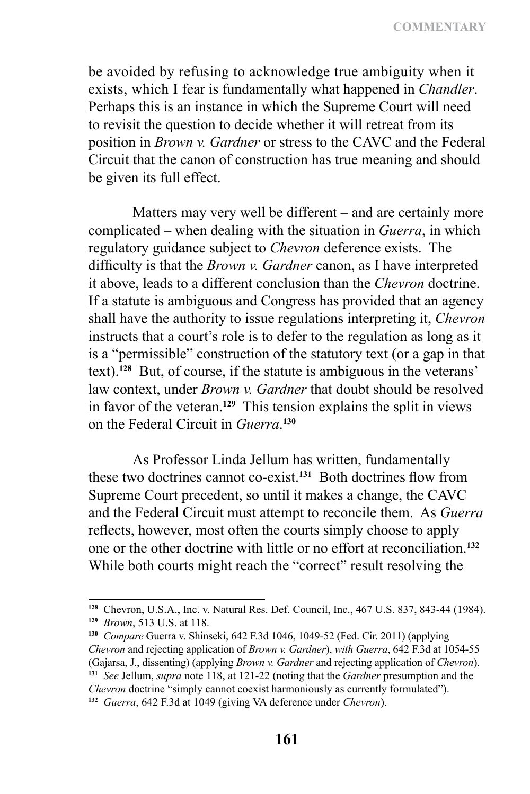be avoided by refusing to acknowledge true ambiguity when it exists, which I fear is fundamentally what happened in *Chandler*. Perhaps this is an instance in which the Supreme Court will need to revisit the question to decide whether it will retreat from its position in *Brown v. Gardner* or stress to the CAVC and the Federal Circuit that the canon of construction has true meaning and should be given its full effect.

Matters may very well be different – and are certainly more complicated – when dealing with the situation in *Guerra*, in which regulatory guidance subject to *Chevron* deference exists. The difficulty is that the *Brown v. Gardner* canon, as I have interpreted it above, leads to a different conclusion than the *Chevron* doctrine. If a statute is ambiguous and Congress has provided that an agency shall have the authority to issue regulations interpreting it, *Chevron* instructs that a court's role is to defer to the regulation as long as it is a "permissible" construction of the statutory text (or a gap in that text).**<sup>128</sup>** But, of course, if the statute is ambiguous in the veterans' law context, under *Brown v. Gardner* that doubt should be resolved in favor of the veteran.**<sup>129</sup>** This tension explains the split in views on the Federal Circuit in *Guerra*. **130**

As Professor Linda Jellum has written, fundamentally these two doctrines cannot co-exist.**<sup>131</sup>** Both doctrines flow from Supreme Court precedent, so until it makes a change, the CAVC and the Federal Circuit must attempt to reconcile them. As *Guerra* reflects, however, most often the courts simply choose to apply one or the other doctrine with little or no effort at reconciliation.**<sup>132</sup>** While both courts might reach the "correct" result resolving the

**<sup>128</sup>** Chevron, U.S.A., Inc. v. Natural Res. Def. Council, Inc., 467 U.S. 837, 843-44 (1984). **<sup>129</sup>** *Brown*, 513 U.S. at 118.

**<sup>130</sup>** *Compare* Guerra v. Shinseki, 642 F.3d 1046, 1049-52 (Fed. Cir. 2011) (applying *Chevron* and rejecting application of *Brown v. Gardner*), *with Guerra*, 642 F.3d at 1054-55 (Gajarsa, J., dissenting) (applying *Brown v. Gardner* and rejecting application of *Chevron*). **<sup>131</sup>** *See* Jellum, *supra* note 118, at 121-22 (noting that the *Gardner* presumption and the *Chevron* doctrine "simply cannot coexist harmoniously as currently formulated"). **<sup>132</sup>** *Guerra*, 642 F.3d at 1049 (giving VA deference under *Chevron*).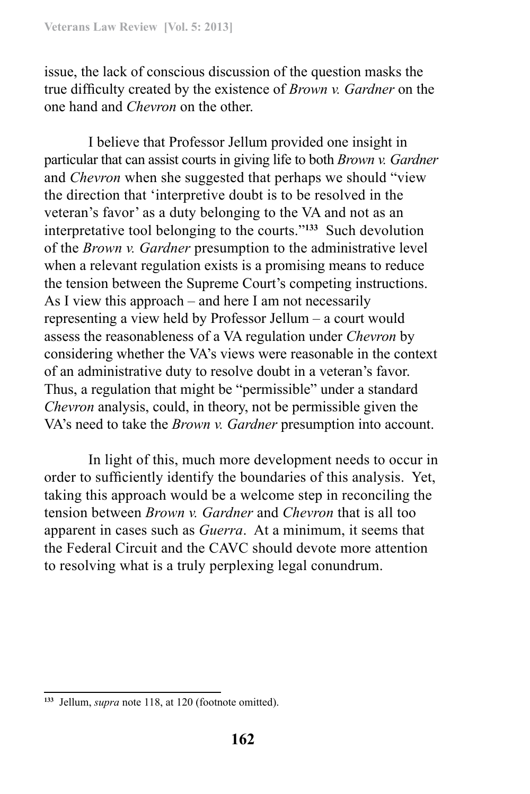issue, the lack of conscious discussion of the question masks the true difficulty created by the existence of *Brown v. Gardner* on the one hand and *Chevron* on the other.

I believe that Professor Jellum provided one insight in particular that can assist courts in giving life to both *Brown v. Gardner* and *Chevron* when she suggested that perhaps we should "view the direction that 'interpretive doubt is to be resolved in the veteran's favor' as a duty belonging to the VA and not as an interpretative tool belonging to the courts."**<sup>133</sup>** Such devolution of the *Brown v. Gardner* presumption to the administrative level when a relevant regulation exists is a promising means to reduce the tension between the Supreme Court's competing instructions. As I view this approach – and here I am not necessarily representing a view held by Professor Jellum – a court would assess the reasonableness of a VA regulation under *Chevron* by considering whether the VA's views were reasonable in the context of an administrative duty to resolve doubt in a veteran's favor. Thus, a regulation that might be "permissible" under a standard *Chevron* analysis, could, in theory, not be permissible given the VA's need to take the *Brown v. Gardner* presumption into account.

In light of this, much more development needs to occur in order to sufficiently identify the boundaries of this analysis. Yet, taking this approach would be a welcome step in reconciling the tension between *Brown v. Gardner* and *Chevron* that is all too apparent in cases such as *Guerra*. At a minimum, it seems that the Federal Circuit and the CAVC should devote more attention to resolving what is a truly perplexing legal conundrum.

**<sup>133</sup>** Jellum, *supra* note 118, at 120 (footnote omitted).